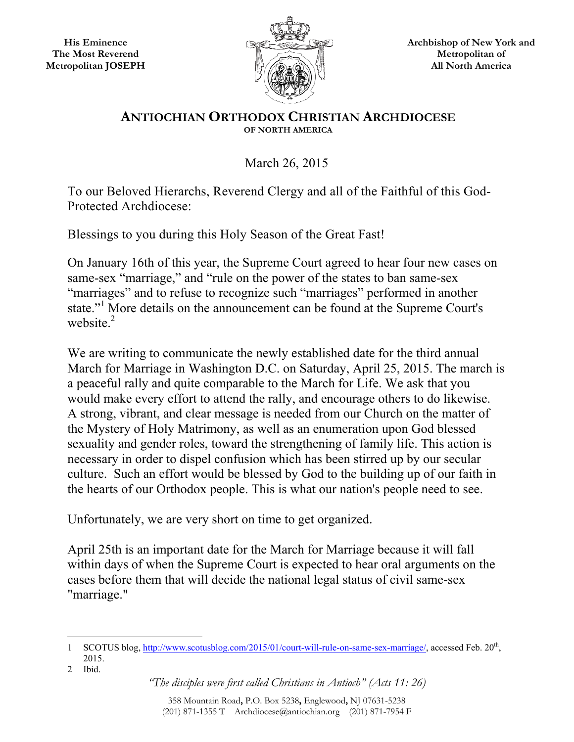**His Eminence The Most Reverend Metropolitan JOSEPH** 



**Archbishop of New York and Metropolitan of All North America** 

## **ANTIOCHIAN ORTHODOX CHRISTIAN ARCHDIOCESE OF NORTH AMERICA**

March 26, 2015

To our Beloved Hierarchs, Reverend Clergy and all of the Faithful of this God-Protected Archdiocese:

Blessings to you during this Holy Season of the Great Fast!

On January 16th of this year, the Supreme Court agreed to hear four new cases on same-sex "marriage," and "rule on the power of the states to ban same-sex "marriages" and to refuse to recognize such "marriages" performed in another state."<sup>1</sup> More details on the announcement can be found at the Supreme Court's website $^2$ 

We are writing to communicate the newly established date for the third annual March for Marriage in Washington D.C. on Saturday, April 25, 2015. The march is a peaceful rally and quite comparable to the March for Life. We ask that you would make every effort to attend the rally, and encourage others to do likewise. A strong, vibrant, and clear message is needed from our Church on the matter of the Mystery of Holy Matrimony, as well as an enumeration upon God blessed sexuality and gender roles, toward the strengthening of family life. This action is necessary in order to dispel confusion which has been stirred up by our secular culture. Such an effort would be blessed by God to the building up of our faith in the hearts of our Orthodox people. This is what our nation's people need to see.

Unfortunately, we are very short on time to get organized.

April 25th is an important date for the March for Marriage because it will fall within days of when the Supreme Court is expected to hear oral arguments on the cases before them that will decide the national legal status of civil same-sex "marriage."

 $\overline{a}$ 1 SCOTUS blog, http://www.scotusblog.com/2015/01/court-will-rule-on-same-sex-marriage/, accessed Feb. 20<sup>th</sup>, 2015.

<sup>2</sup> Ibid.

*<sup>&</sup>quot;The disciples were first called Christians in Antioch" (Acts 11: 26)*